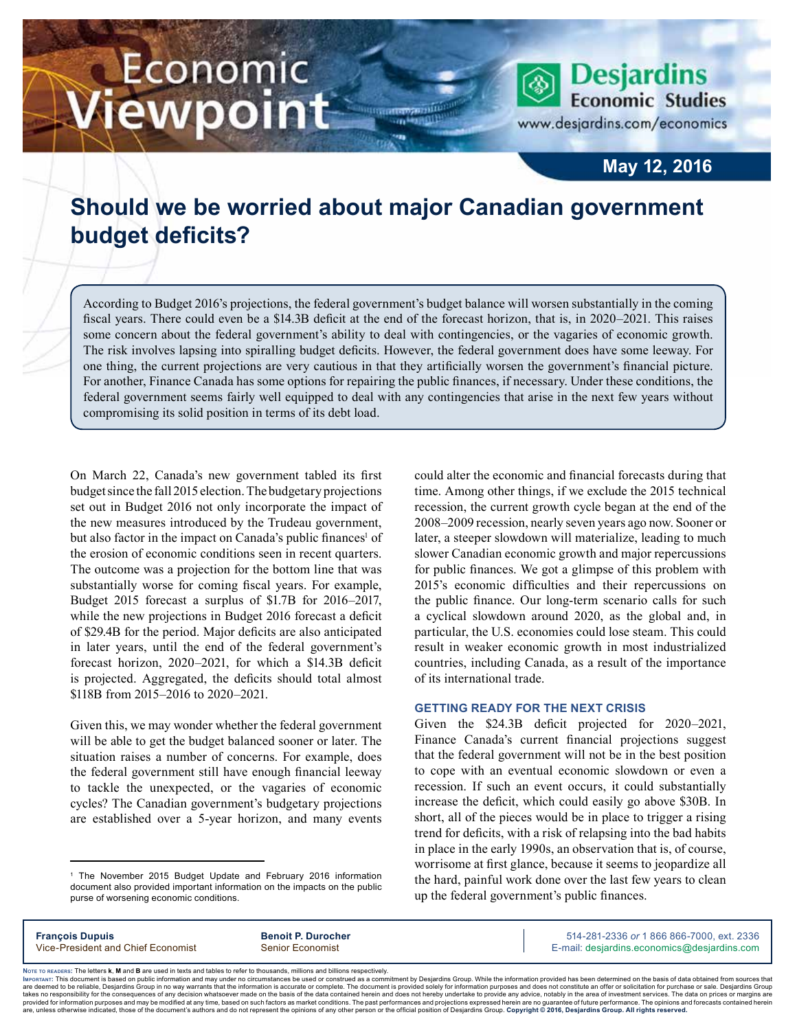# Economic iewpoint

**Desjardins Economic Studies** 

www.desjardins.com/economics

### **May 12, 2016**

## **Should we be worried about major Canadian government budget deficits?**

According to Budget 2016's projections, the federal government's budget balance will worsen substantially in the coming fiscal years. There could even be a \$14.3B deficit at the end of the forecast horizon, that is, in 2020–2021. This raises some concern about the federal government's ability to deal with contingencies, or the vagaries of economic growth. The risk involves lapsing into spiralling budget deficits. However, the federal government does have some leeway. For one thing, the current projections are very cautious in that they artificially worsen the government's financial picture. For another, Finance Canada has some options for repairing the public finances, if necessary. Under these conditions, the federal government seems fairly well equipped to deal with any contingencies that arise in the next few years without compromising its solid position in terms of its debt load.

On March 22, Canada's new government tabled its first budget since the fall 2015 election. The budgetary projections set out in Budget 2016 not only incorporate the impact of the new measures introduced by the Trudeau government, but also factor in the impact on Canada's public finances<sup>1</sup> of the erosion of economic conditions seen in recent quarters. The outcome was a projection for the bottom line that was substantially worse for coming fiscal years. For example, Budget 2015 forecast a surplus of \$1.7B for 2016–2017, while the new projections in Budget 2016 forecast a deficit of \$29.4B for the period. Major deficits are also anticipated in later years, until the end of the federal government's forecast horizon, 2020–2021, for which a \$14.3B deficit is projected. Aggregated, the deficits should total almost \$118B from 2015–2016 to 2020–2021.

Given this, we may wonder whether the federal government will be able to get the budget balanced sooner or later. The situation raises a number of concerns. For example, does the federal government still have enough financial leeway to tackle the unexpected, or the vagaries of economic cycles? The Canadian government's budgetary projections are established over a 5‑year horizon, and many events could alter the economic and financial forecasts during that time. Among other things, if we exclude the 2015 technical recession, the current growth cycle began at the end of the 2008–2009 recession, nearly seven years ago now. Sooner or later, a steeper slowdown will materialize, leading to much slower Canadian economic growth and major repercussions for public finances. We got a glimpse of this problem with 2015's economic difficulties and their repercussions on the public finance. Our long-term scenario calls for such a cyclical slowdown around 2020, as the global and, in particular, the U.S. economies could lose steam. This could result in weaker economic growth in most industrialized countries, including Canada, as a result of the importance of its international trade.

### **Getting ready for the next crisis**

Given the \$24.3B deficit projected for 2020–2021, Finance Canada's current financial projections suggest that the federal government will not be in the best position to cope with an eventual economic slowdown or even a recession. If such an event occurs, it could substantially increase the deficit, which could easily go above \$30B. In short, all of the pieces would be in place to trigger a rising trend for deficits, with a risk of relapsing into the bad habits in place in the early 1990s, an observation that is, of course, worrisome at first glance, because it seems to jeopardize all the hard, painful work done over the last few years to clean up the federal government's public finances.

**François Dupuis Benoit P. Durocher** 514-281-2336 *or* 1 866 866-7000, ext. 2336 Vice-President and Chief Economist Senior Economist Senior Economist E-mail: desjardins.economics@desjardins.com

Noте то келоекs: The letters **k, M** and **B** are used in texts and tables to refer to thousands, millions and billions respectively.<br>Імроктлит: This document is based on public information and may under no circumstances be are deemed to be reliable. Desiardins Group in no way warrants that the information is accurate or complete. The document is provided solely for information purposes and does not constitute an offer or solicitation for pur takes no responsibility for the consequences of any decision whatsoever made on the basis of the data contained herein and does not hereby undertake to provide any advice, notably in the area of investment services. The da .<br>are, unless otherwise indicated, those of the document's authors and do not represent the opinions of any other person or the official position of Desjardins Group. Copyright @ 2016, Desjardins Group. All rights reserved

<sup>1</sup> The November 2015 Budget Update and February 2016 information document also provided important information on the impacts on the public purse of worsening economic conditions.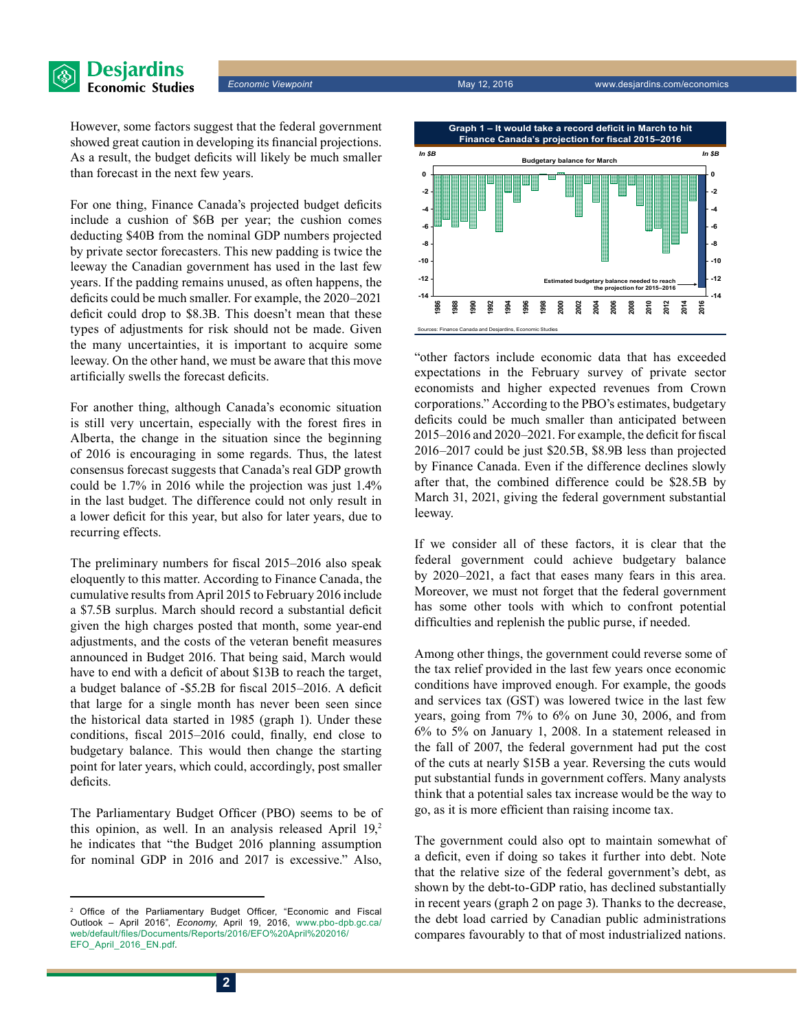**Desjardins Economic Studies** 

> However, some factors suggest that the federal government showed great caution in developing its financial projections. As a result, the budget deficits will likely be much smaller than forecast in the next few years.

> For one thing, Finance Canada's projected budget deficits include a cushion of \$6B per year; the cushion comes deducting \$40B from the nominal GDP numbers projected by private sector forecasters. This new padding is twice the leeway the Canadian government has used in the last few years. If the padding remains unused, as often happens, the deficits could be much smaller. For example, the 2020–2021 deficit could drop to \$8.3B. This doesn't mean that these types of adjustments for risk should not be made. Given the many uncertainties, it is important to acquire some leeway. On the other hand, we must be aware that this move artificially swells the forecast deficits.

> For another thing, although Canada's economic situation is still very uncertain, especially with the forest fires in Alberta, the change in the situation since the beginning of 2016 is encouraging in some regards. Thus, the latest consensus forecast suggests that Canada's real GDP growth could be 1.7% in 2016 while the projection was just 1.4% in the last budget. The difference could not only result in a lower deficit for this year, but also for later years, due to recurring effects.

> The preliminary numbers for fiscal 2015–2016 also speak eloquently to this matter. According to Finance Canada, the cumulative results from April 2015 to February 2016 include a \$7.5B surplus. March should record a substantial deficit given the high charges posted that month, some year-end adjustments, and the costs of the veteran benefit measures announced in Budget 2016. That being said, March would have to end with a deficit of about \$13B to reach the target, a budget balance of -\$5.2B for fiscal 2015–2016. A deficit that large for a single month has never been seen since the historical data started in 1985 (graph 1). Under these conditions, fiscal 2015–2016 could, finally, end close to budgetary balance. This would then change the starting point for later years, which could, accordingly, post smaller deficits.

> The Parliamentary Budget Officer (PBO) seems to be of this opinion, as well. In an analysis released April  $19<sub>z</sub>$ <sup>2</sup> he indicates that "the Budget 2016 planning assumption for nominal GDP in 2016 and 2017 is excessive." Also,



"other factors include economic data that has exceeded expectations in the February survey of private sector economists and higher expected revenues from Crown corporations." According to the PBO's estimates, budgetary deficits could be much smaller than anticipated between 2015–2016 and 2020–2021. For example, the deficit for fiscal 2016–2017 could be just \$20.5B, \$8.9B less than projected by Finance Canada. Even if the difference declines slowly after that, the combined difference could be \$28.5B by March 31, 2021, giving the federal government substantial leeway.

If we consider all of these factors, it is clear that the federal government could achieve budgetary balance by 2020–2021, a fact that eases many fears in this area. Moreover, we must not forget that the federal government has some other tools with which to confront potential difficulties and replenish the public purse, if needed.

Among other things, the government could reverse some of the tax relief provided in the last few years once economic conditions have improved enough. For example, the goods and services tax (GST) was lowered twice in the last few years, going from 7% to 6% on June 30, 2006, and from 6% to 5% on January 1, 2008. In a statement released in the fall of 2007, the federal government had put the cost of the cuts at nearly \$15B a year. Reversing the cuts would put substantial funds in government coffers. Many analysts think that a potential sales tax increase would be the way to go, as it is more efficient than raising income tax.

The government could also opt to maintain somewhat of a deficit, even if doing so takes it further into debt. Note that the relative size of the federal government's debt, as shown by the debt-to-GDP ratio, has declined substantially in recent years (graph 2 on page 3). Thanks to the decrease, the debt load carried by Canadian public administrations compares favourably to that of most industrialized nations.

<sup>&</sup>lt;sup>2</sup> Office of the Parliamentary Budget Officer, "Economic and Fiscal Outlook – April 2016", *Economy*, April 19, 2016, [www.pbo-dpb.gc.ca/](http://www.pbo-dpb.gc.ca/web/default/files/Documents/Reports/2016/EFO%20April%202016/EFO_April_2016_EN.pdf) [web/default/files/Documents/Reports/2016/EFO%20April%202016/](http://www.pbo-dpb.gc.ca/web/default/files/Documents/Reports/2016/EFO%20April%202016/EFO_April_2016_EN.pdf) [EFO\\_April\\_2016\\_EN.pdf](http://www.pbo-dpb.gc.ca/web/default/files/Documents/Reports/2016/EFO%20April%202016/EFO_April_2016_EN.pdf).